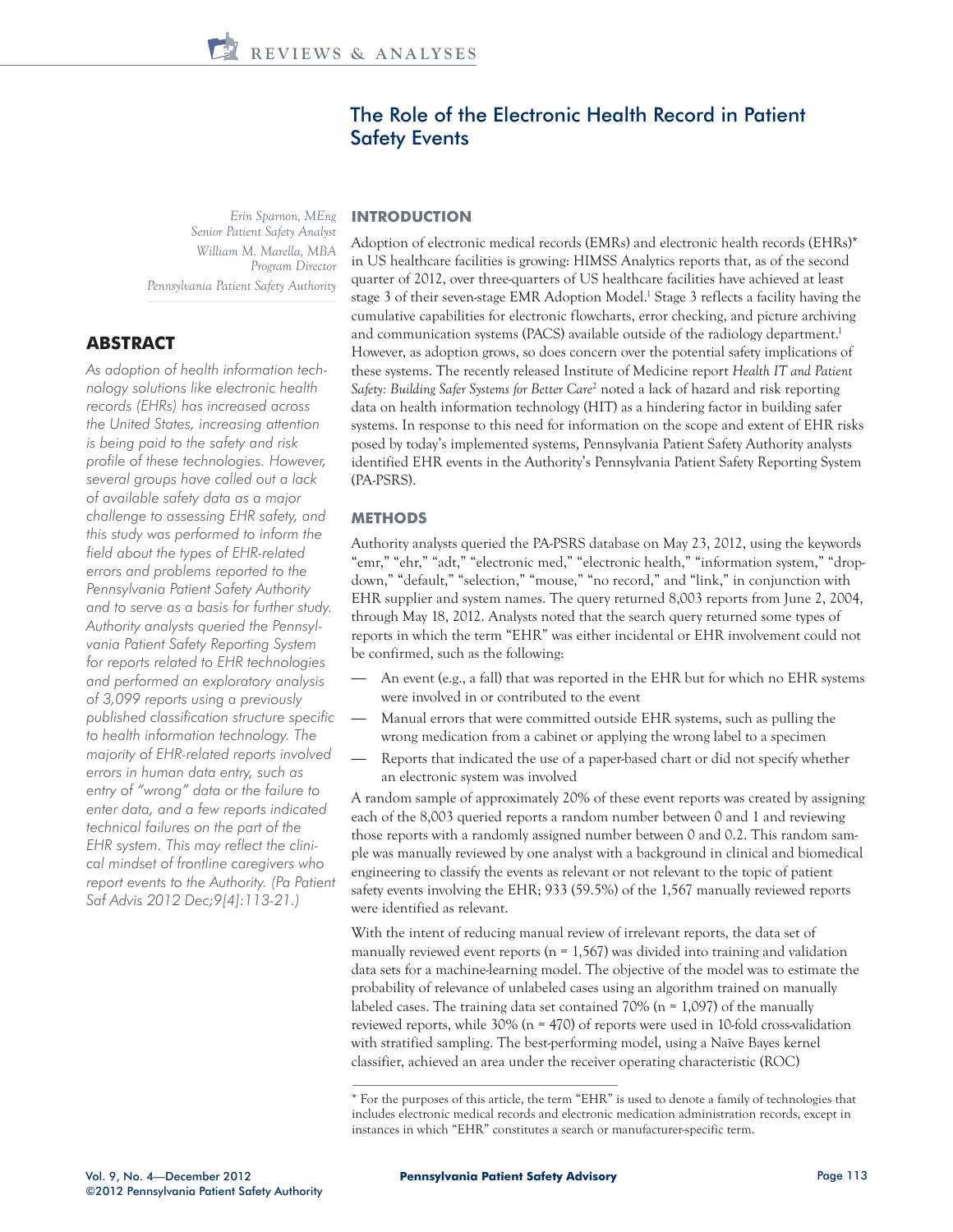# The Role of the Electronic Health Record in Patient Safety Events

*Erin Sparnon, MEng Senior Patient Safety Analyst William M. Marella, MBA Program Director Pennsylvania Patient Safety Authority*

# **ABSTRACT**

*As adoption of health information technology solutions like electronic health records (EHRs) has increased across the United States, increasing attention is being paid to the safety and risk profile of these technologies. However, several groups have called out a lack of available safety data as a major challenge to assessing EHR safety, and this study was performed to inform the field about the types of EHR-related errors and problems reported to the Pennsylvania Patient Safety Authority and to serve as a basis for further study. Authority analysts queried the Pennsylvania Patient Safety Reporting System for reports related to EHR technologies and performed an exploratory analysis of 3,099 reports using a previously published classification structure specific to health information technology. The majority of EHR-related reports involved errors in human data entry, such as entry of "wrong" data or the failure to enter data, and a few reports indicated technical failures on the part of the EHR system. This may reflect the clinical mindset of frontline caregivers who report events to the Authority. (Pa Patient Saf Advis 2012 Dec;9[4]:113-21.)* 

# **INTRODUCTION**

Adoption of electronic medical records (EMRs) and electronic health records (EHRs)\* in US healthcare facilities is growing: HIMSS Analytics reports that, as of the second quarter of 2012, over three-quarters of US healthcare facilities have achieved at least stage 3 of their seven-stage EMR Adoption Model.<sup>1</sup> Stage 3 reflects a facility having the cumulative capabilities for electronic flowcharts, error checking, and picture archiving and communication systems (PACS) available outside of the radiology department.<sup>1</sup> However, as adoption grows, so does concern over the potential safety implications of these systems. The recently released Institute of Medicine report *Health IT and Patient*  Safety: Building Safer Systems for Better Care<sup>2</sup> noted a lack of hazard and risk reporting data on health information technology (HIT) as a hindering factor in building safer systems. In response to this need for information on the scope and extent of EHR risks posed by today's implemented systems, Pennsylvania Patient Safety Authority analysts identified EHR events in the Authority's Pennsylvania Patient Safety Reporting System (PA-PSRS).

# **METHODS**

Authority analysts queried the PA-PSRS database on May 23, 2012, using the keywords "emr," "ehr," "adt," "electronic med," "electronic health," "information system," "dropdown," "default," "selection," "mouse," "no record," and "link," in conjunction with EHR supplier and system names. The query returned 8,003 reports from June 2, 2004, through May 18, 2012. Analysts noted that the search query returned some types of reports in which the term "EHR" was either incidental or EHR involvement could not be confirmed, such as the following:

- An event (e.g., a fall) that was reported in the EHR but for which no EHR systems were involved in or contributed to the event
- Manual errors that were committed outside EHR systems, such as pulling the wrong medication from a cabinet or applying the wrong label to a specimen
- Reports that indicated the use of a paper-based chart or did not specify whether an electronic system was involved

A random sample of approximately 20% of these event reports was created by assigning each of the 8,003 queried reports a random number between 0 and 1 and reviewing those reports with a randomly assigned number between 0 and 0.2. This random sample was manually reviewed by one analyst with a background in clinical and biomedical engineering to classify the events as relevant or not relevant to the topic of patient safety events involving the EHR; 933 (59.5%) of the 1,567 manually reviewed reports were identified as relevant.

With the intent of reducing manual review of irrelevant reports, the data set of manually reviewed event reports ( $n = 1,567$ ) was divided into training and validation data sets for a machine-learning model. The objective of the model was to estimate the probability of relevance of unlabeled cases using an algorithm trained on manually labeled cases. The training data set contained  $70\%$  (n = 1,097) of the manually reviewed reports, while 30% (n = 470) of reports were used in 10-fold cross-validation with stratified sampling. The best-performing model, using a Naïve Bayes kernel classifier, achieved an area under the receiver operating characteristic (ROC)

<sup>\*</sup> For the purposes of this article, the term "EHR" is used to denote a family of technologies that includes electronic medical records and electronic medication administration records, except in instances in which "EHR" constitutes a search or manufacturer-specific term.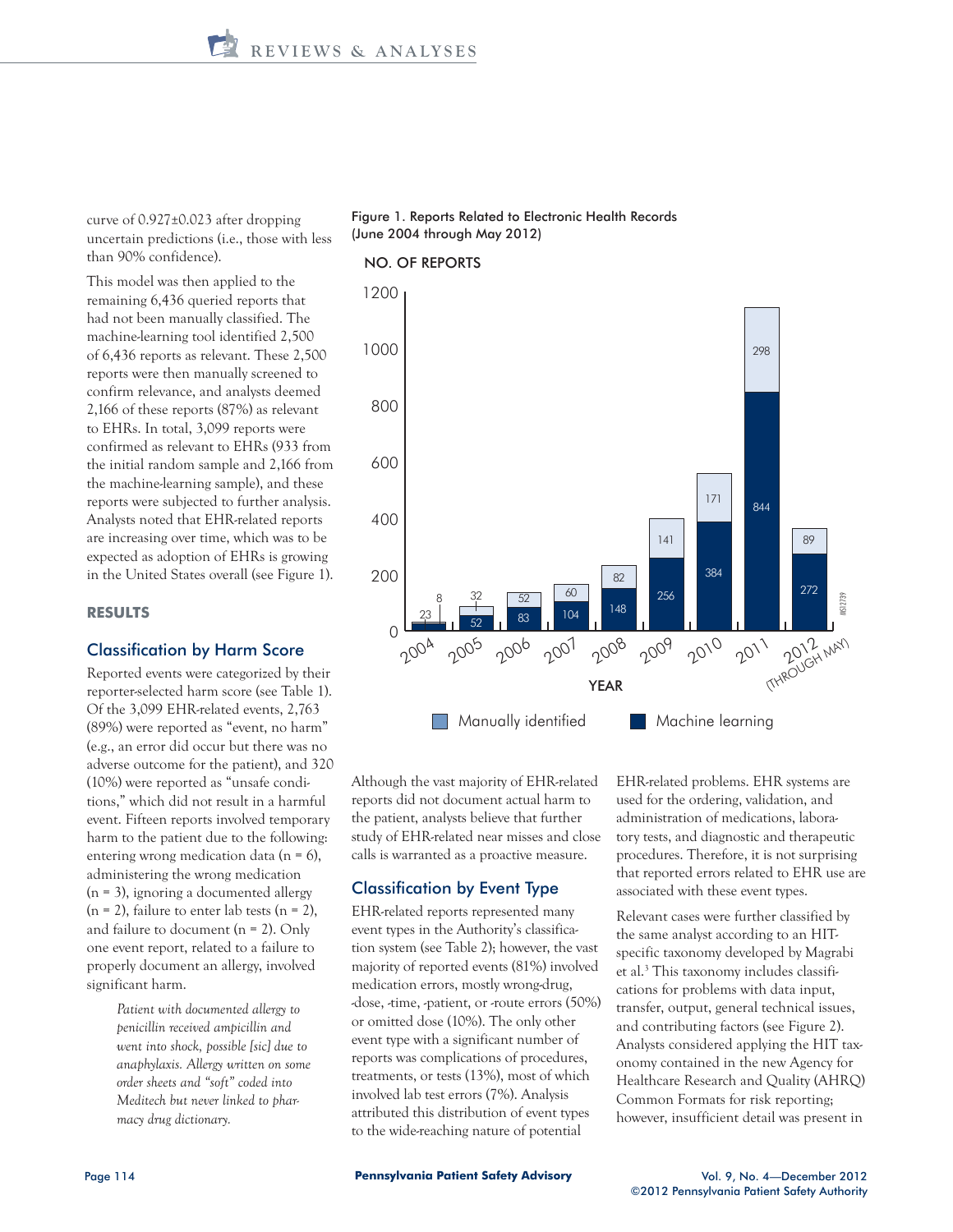curve of 0.927±0.023 after dropping uncertain predictions (i.e., those with less than 90% confidence).

 This model was then applied to the remaining 6,436 queried reports that had not been manually classified. The machine-learning tool identified 2,500 of 6,436 reports as relevant. These 2,500 reports were then manually screened to confirm relevance, and analysts deemed 2,166 of these reports (87%) as relevant to EHRs. In total, 3,099 reports were confirmed as relevant to EHRs (933 from the initial random sample and 2,166 from the machine-learning sample), and these reports were subjected to further analysis. Analysts noted that EHR-related reports are increasing over time, which was to be expected as adoption of EHRs is growing in the United States overall (see Figure 1).

#### **RESULTS**

# Classification by Harm Score

Reported events were categorized by their reporter-selected harm score (see Table 1). Of the 3,099 EHR-related events, 2,763 (89%) were reported as "event, no harm" (e.g., an error did occur but there was no adverse outcome for the patient), and 320 (10%) were reported as "unsafe conditions," which did not result in a harmful event. Fifteen reports involved temporary harm to the patient due to the following: entering wrong medication data (n = 6), administering the wrong medication  $(n = 3)$ , ignoring a documented allergy  $(n = 2)$ , failure to enter lab tests  $(n = 2)$ , and failure to document ( $n = 2$ ). Only one event report, related to a failure to properly document an allergy, involved significant harm.

> *Patient with documented allergy to penicillin received ampicillin and went into shock, possible [sic] due to anaphylaxis. Allergy written on some order sheets and "soft" coded into Meditech but never linked to pharmacy drug dictionary.*

#### Figure 1. Reports Related to Electronic Health Records (June 2004 through May 2012)

#### NO. OF REPORTS



Although the vast majority of EHR-related reports did not document actual harm to the patient, analysts believe that further study of EHR-related near misses and close calls is warranted as a proactive measure.

#### Classification by Event Type

EHR-related reports represented many event types in the Authority's classification system (see Table 2); however, the vast majority of reported events (81%) involved medication errors, mostly wrong-drug, -dose, -time, -patient, or -route errors (50%) or omitted dose (10%). The only other event type with a significant number of reports was complications of procedures, treatments, or tests (13%), most of which involved lab test errors (7%). Analysis attributed this distribution of event types to the wide-reaching nature of potential

EHR-related problems. EHR systems are used for the ordering, validation, and administration of medications, laboratory tests, and diagnostic and therapeutic procedures. Therefore, it is not surprising that reported errors related to EHR use are associated with these event types.

Relevant cases were further classified by the same analyst according to an HITspecific taxonomy developed by Magrabi et al.<sup>3</sup> This taxonomy includes classifications for problems with data input, transfer, output, general technical issues, and contributing factors (see Figure 2). Analysts considered applying the HIT taxonomy contained in the new Agency for Healthcare Research and Quality (AHRQ) Common Formats for risk reporting; however, insufficient detail was present in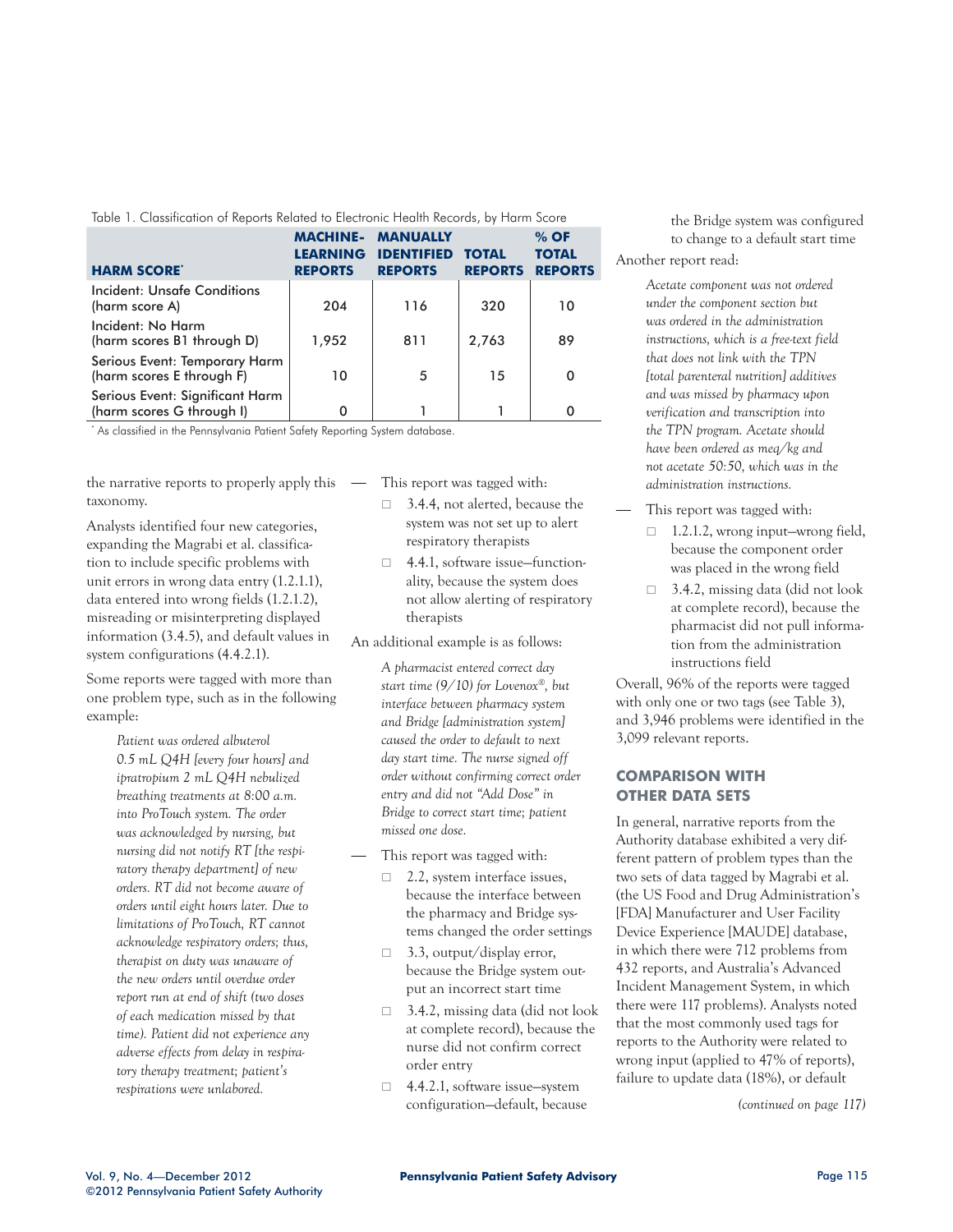| Table T. Classification of Reports Related to Electronic Health Records, by Harm Score |                                                      |                                                        |                                |                                          |  |  |
|----------------------------------------------------------------------------------------|------------------------------------------------------|--------------------------------------------------------|--------------------------------|------------------------------------------|--|--|
| <b>HARM SCORE®</b>                                                                     | <b>MACHINE-</b><br><b>LEARNING</b><br><b>REPORTS</b> | <b>MANUALLY</b><br><b>IDENTIFIED</b><br><b>REPORTS</b> | <b>TOTAL</b><br><b>REPORTS</b> | $%$ OF<br><b>TOTAL</b><br><b>REPORTS</b> |  |  |
| Incident: Unsafe Conditions<br>(harm score A)                                          | 204                                                  | 116                                                    | 320                            | 10                                       |  |  |
| Incident: No Harm<br>(harm scores B1 through D)                                        | 1,952                                                | 811                                                    | 2,763                          | 89                                       |  |  |
| Serious Event: Temporary Harm<br>(harm scores E through F)                             | 10                                                   | 5                                                      | 15                             | 0                                        |  |  |
| Serious Event: Significant Harm<br>(harm scores G through I)                           |                                                      |                                                        |                                | 0                                        |  |  |

Table 1. Classification of Reports Related to Electronic Health Records, by Harm Score

\* As classified in the Pennsylvania Patient Safety Reporting System database.

the narrative reports to properly apply this taxonomy.

Analysts identified four new categories, expanding the Magrabi et al. classification to include specific problems with unit errors in wrong data entry (1.2.1.1), data entered into wrong fields (1.2.1.2), misreading or misinterpreting displayed information (3.4.5), and default values in system configurations (4.4.2.1).

Some reports were tagged with more than one problem type, such as in the following example:

> *Patient was ordered albuterol 0.5 mL Q4H [every four hours] and ipratropium 2 mL Q4H nebulized breathing treatments at 8:00 a.m. into ProTouch system. The order was acknowledged by nursing, but nursing did not notify RT [the respiratory therapy department] of new orders. RT did not become aware of orders until eight hours later. Due to limitations of ProTouch, RT cannot acknowledge respiratory orders; thus, therapist on duty was unaware of the new orders until overdue order report run at end of shift (two doses of each medication missed by that time). Patient did not experience any adverse effects from delay in respiratory therapy treatment; patient's respirations were unlabored.*

— This report was tagged with:

- □ 3.4.4, not alerted, because the system was not set up to alert respiratory therapists
- □ 4.4.1, software issue–functionality, because the system does not allow alerting of respiratory therapists

An additional example is as follows:

*A pharmacist entered correct day start time (9/10) for Lovenox®, but interface between pharmacy system and Bridge [administration system] caused the order to default to next day start time. The nurse signed off order without confirming correct order entry and did not "Add Dose" in Bridge to correct start time; patient missed one dose.*

- This report was tagged with:
	- $\Box$  2.2, system interface issues, because the interface between the pharmacy and Bridge systems changed the order settings
	- $\Box$  3.3, output/display error, because the Bridge system output an incorrect start time
	- $\Box$  3.4.2, missing data (did not look at complete record), because the nurse did not confirm correct order entry
	- □ 4.4.2.1, software issue—system configuration—default, because

the Bridge system was configured to change to a default start time Another report read:

> *Acetate component was not ordered under the component section but was ordered in the administration instructions, which is a free-text field that does not link with the TPN [total parenteral nutrition] additives and was missed by pharmacy upon verification and transcription into the TPN program. Acetate should have been ordered as meq/kg and not acetate 50:50, which was in the administration instructions.*

- This report was tagged with:
	- $\Box$  1.2.1.2, wrong input—wrong field, because the component order was placed in the wrong field
	- □ 3.4.2, missing data (did not look at complete record), because the pharmacist did not pull information from the administration instructions field

Overall, 96% of the reports were tagged with only one or two tags (see Table 3), and 3,946 problems were identified in the 3,099 relevant reports.

# **COMPARISON WITH OTHER DATA SETS**

In general, narrative reports from the Authority database exhibited a very different pattern of problem types than the two sets of data tagged by Magrabi et al. (the US Food and Drug Administration's [FDA] Manufacturer and User Facility Device Experience [MAUDE] database, in which there were 712 problems from 432 reports, and Australia's Advanced Incident Management System, in which there were 117 problems). Analysts noted that the most commonly used tags for reports to the Authority were related to wrong input (applied to 47% of reports), failure to update data (18%), or default

*(continued on page 117)*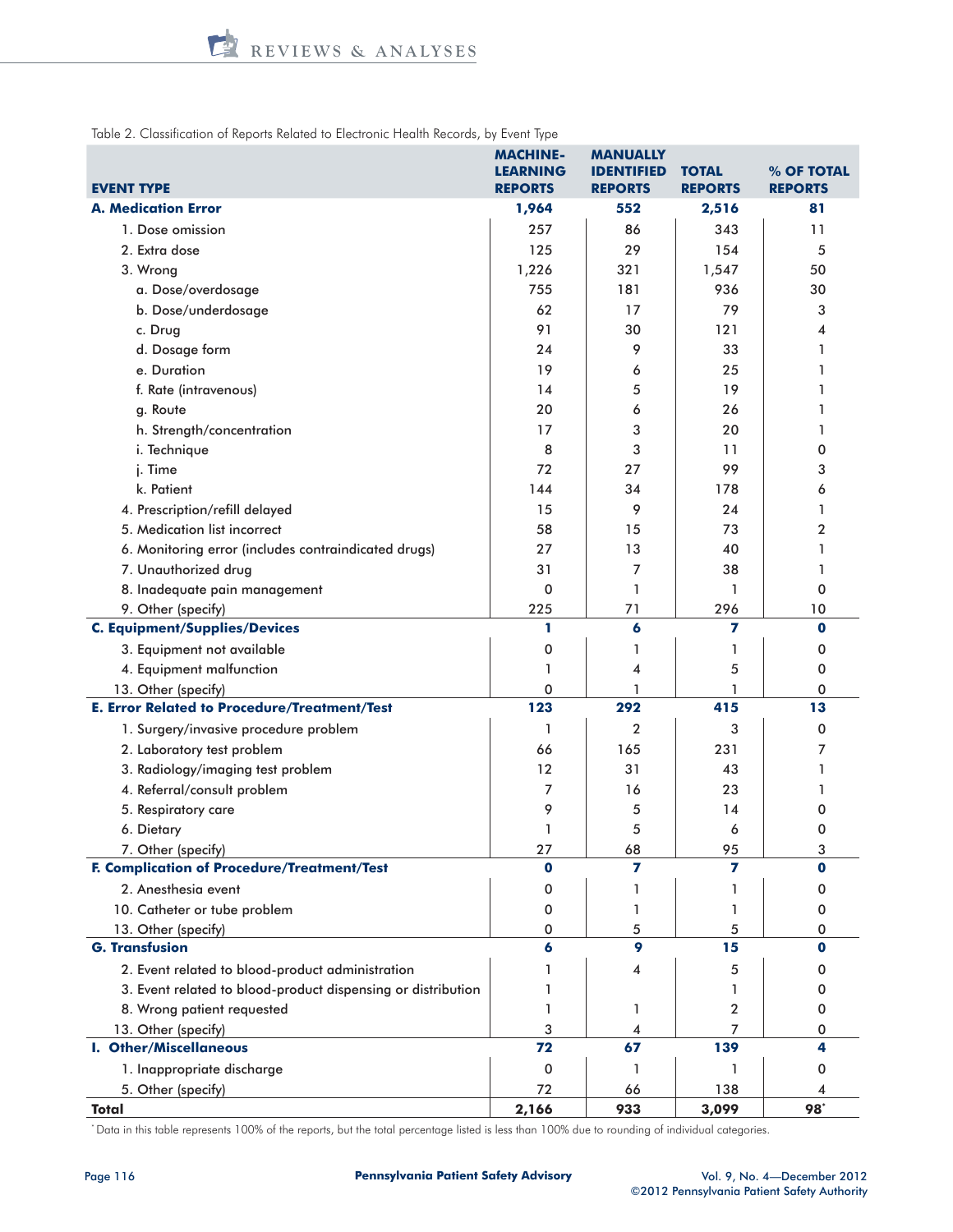Table 2. Classification of Reports Related to Electronic Health Records, by Event Type

| <b>EVENT TYPE</b>                                            | <b>MACHINE-</b><br><b>LEARNING</b><br><b>REPORTS</b> | <b>MANUALLY</b><br><b>IDENTIFIED</b><br><b>REPORTS</b> | <b>TOTAL</b><br><b>REPORTS</b> | % OF TOTAL<br><b>REPORTS</b> |
|--------------------------------------------------------------|------------------------------------------------------|--------------------------------------------------------|--------------------------------|------------------------------|
| <b>A. Medication Error</b>                                   | 1,964                                                | 552                                                    | 2,516                          | 81                           |
| 1. Dose omission                                             | 257                                                  | 86                                                     | 343                            | 11                           |
| 2. Extra dose                                                | 125                                                  | 29                                                     | 154                            | 5                            |
| 3. Wrong                                                     | 1,226                                                | 321                                                    | 1,547                          | 50                           |
| a. Dose/overdosage                                           | 755                                                  | 181                                                    | 936                            | 30                           |
| b. Dose/underdosage                                          | 62                                                   | 17                                                     | 79                             | 3                            |
| c. Drug                                                      | 91                                                   | 30                                                     | 121                            | 4                            |
| d. Dosage form                                               | 24                                                   | 9                                                      | 33                             | 1                            |
| e. Duration                                                  | 19                                                   | 6                                                      | 25                             | 1                            |
| f. Rate (intravenous)                                        | 14                                                   | 5                                                      | 19                             | 1                            |
| g. Route                                                     | 20                                                   | 6                                                      | 26                             | 1                            |
| h. Strength/concentration                                    | 17                                                   | 3                                                      | 20                             | 1                            |
| i. Technique                                                 | 8                                                    | 3                                                      | 11                             | 0                            |
| j. Time                                                      | 72                                                   | 27                                                     | 99                             | 3                            |
| k. Patient                                                   | 144                                                  | 34                                                     | 178                            | 6                            |
| 4. Prescription/refill delayed                               | 15                                                   | 9                                                      | 24                             | 1                            |
| 5. Medication list incorrect                                 | 58                                                   | 15                                                     | 73                             | 2                            |
| 6. Monitoring error (includes contraindicated drugs)         | 27                                                   | 13                                                     | 40                             | 1                            |
| 7. Unauthorized drug                                         | 31                                                   | 7                                                      | 38                             | 1                            |
| 8. Inadequate pain management                                | 0                                                    | 1                                                      | 1                              | 0                            |
| 9. Other (specify)                                           | 225                                                  | 71                                                     | 296                            | 10                           |
| <b>C. Equipment/Supplies/Devices</b>                         | 1                                                    | 6                                                      | 7                              | $\mathbf 0$                  |
| 3. Equipment not available                                   | 0                                                    | 1                                                      | 1                              | 0                            |
| 4. Equipment malfunction                                     | 1                                                    | 4                                                      | 5                              | 0                            |
| 13. Other (specify)                                          | 0                                                    | 1                                                      | 1                              | 0                            |
| <b>E. Error Related to Procedure/Treatment/Test</b>          | 123                                                  | 292                                                    | 415                            | 13                           |
| 1. Surgery/invasive procedure problem                        | 1                                                    | $\overline{2}$                                         | 3                              | $\mathbf 0$                  |
| 2. Laboratory test problem                                   | 66                                                   | 165                                                    | 231                            | 7                            |
| 3. Radiology/imaging test problem                            | 12                                                   | 31                                                     | 43                             | 1                            |
| 4. Referral/consult problem                                  | 7                                                    | 16                                                     | 23                             | 1                            |
| 5. Respiratory care                                          | 9                                                    | 5                                                      | 14                             | 0                            |
| 6. Dietary                                                   | 1                                                    | 5                                                      | 6                              | 0                            |
| 7. Other (specify)                                           | 27                                                   | 68                                                     | 95                             | 3                            |
| F. Complication of Procedure/Treatment/Test                  | $\bf{o}$                                             | 7                                                      | 7                              | 0                            |
| 2. Anesthesia event                                          | 0                                                    | ı                                                      | ı                              | 0                            |
| 10. Catheter or tube problem                                 | 0                                                    | 1                                                      | 1                              | 0                            |
| 13. Other (specify)                                          | 0                                                    | 5                                                      | 5                              | 0                            |
| <b>G. Transfusion</b>                                        | 6                                                    | 9                                                      | 15                             | 0                            |
| 2. Event related to blood-product administration             |                                                      | 4                                                      | 5                              | 0                            |
| 3. Event related to blood-product dispensing or distribution |                                                      |                                                        | ı                              | 0                            |
| 8. Wrong patient requested                                   |                                                      | 1                                                      | 2                              | 0                            |
| 13. Other (specify)                                          | 3                                                    | 4                                                      | 7                              | 0                            |
| <b>I. Other/Miscellaneous</b>                                | 72                                                   | 67                                                     | 139                            | 4                            |
| 1. Inappropriate discharge                                   | 0                                                    | 1                                                      | 1                              | 0                            |
| 5. Other (specify)                                           | 72                                                   | 66                                                     | 138                            | 4                            |
| <b>Total</b>                                                 | 2,166                                                | 933                                                    | 3,099                          | 98*                          |

\* Data in this table represents 100% of the reports, but the total percentage listed is less than 100% due to rounding of individual categories.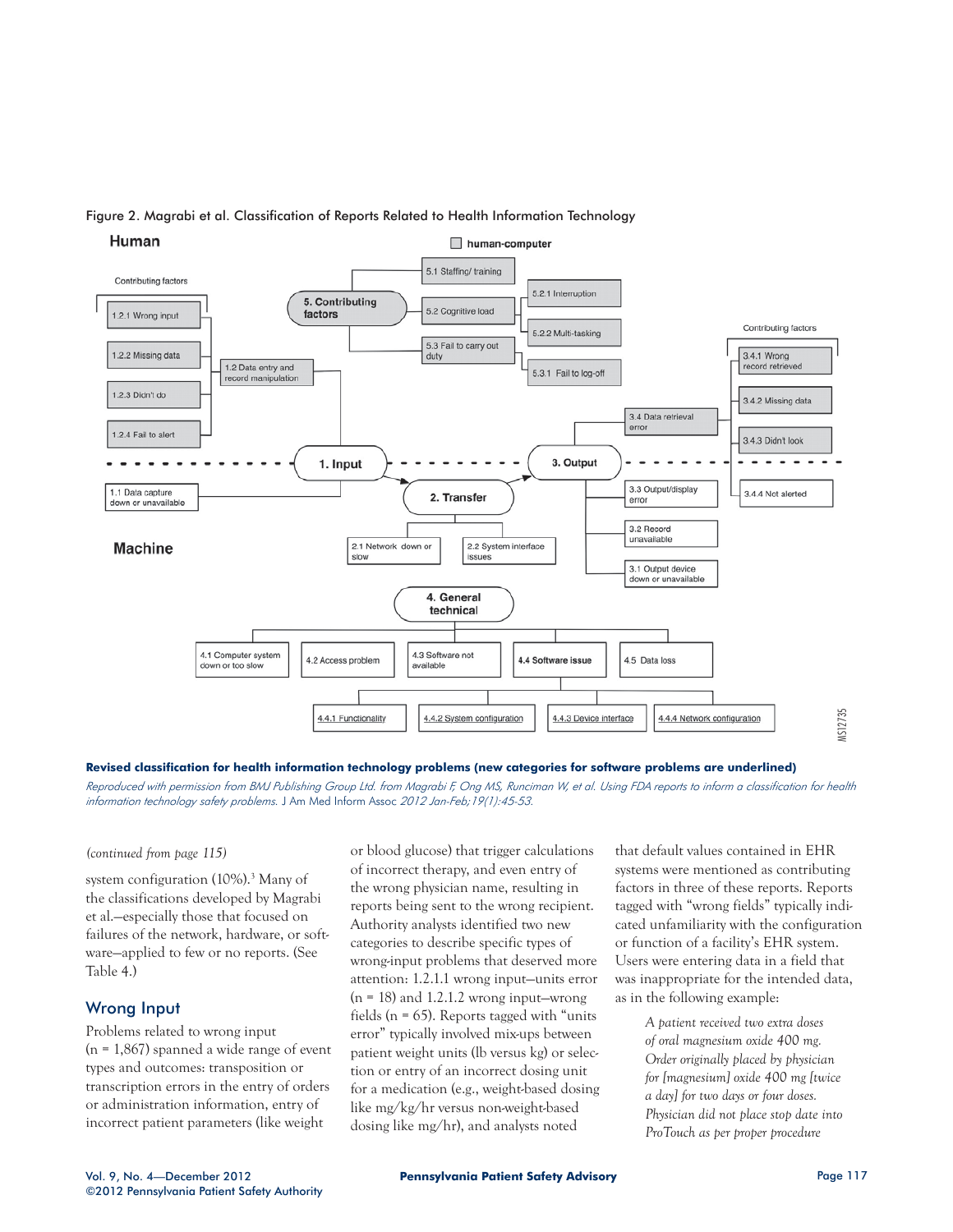

#### Figure 2. Magrabi et al. Classification of Reports Related to Health Information Technology

**Revised classification for health information technology problems (new categories for software problems are underlined)**

*Reproduced with permission from BMJ Publishing Group Ltd. from Magrabi F, Ong MS, Runciman W, et al. Using FDA reports to inform a classification for health information technology safety problems.* J Am Med Inform Assoc *2012 Jan-Feb;19(1):45-53.*

#### *(continued from page 115)*

system configuration (10%).<sup>3</sup> Many of the classifications developed by Magrabi et al.—especially those that focused on failures of the network, hardware, or software—applied to few or no reports. (See Table 4.)

# Wrong Input

Problems related to wrong input  $(n = 1,867)$  spanned a wide range of event types and outcomes: transposition or transcription errors in the entry of orders or administration information, entry of incorrect patient parameters (like weight

or blood glucose) that trigger calculations of incorrect therapy, and even entry of the wrong physician name, resulting in reports being sent to the wrong recipient. Authority analysts identified two new categories to describe specific types of wrong-input problems that deserved more attention: 1.2.1.1 wrong input—units error  $(n = 18)$  and 1.2.1.2 wrong input—wrong fields ( $n = 65$ ). Reports tagged with "units" error" typically involved mix-ups between patient weight units (lb versus kg) or selection or entry of an incorrect dosing unit for a medication (e.g., weight-based dosing like mg/kg/hr versus non-weight-based dosing like mg/hr), and analysts noted

that default values contained in EHR systems were mentioned as contributing factors in three of these reports. Reports tagged with "wrong fields" typically indicated unfamiliarity with the configuration or function of a facility's EHR system. Users were entering data in a field that was inappropriate for the intended data, as in the following example:

> *A patient received two extra doses of oral magnesium oxide 400 mg. Order originally placed by physician for [magnesium] oxide 400 mg [twice a day] for two days or four doses. Physician did not place stop date into ProTouch as per proper procedure*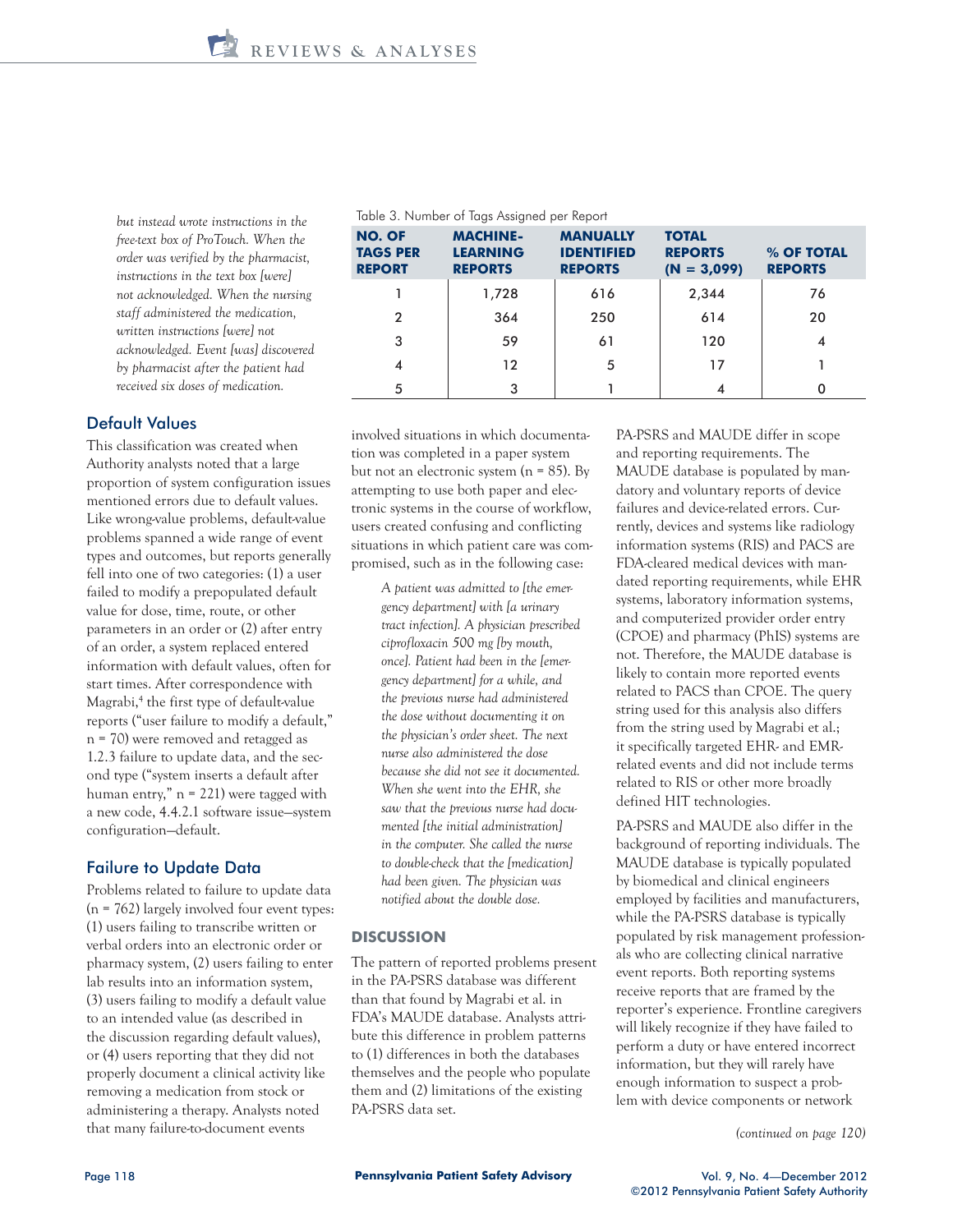*but instead wrote instructions in the free-text box of ProTouch. When the order was verified by the pharmacist, instructions in the text box [were] not acknowledged. When the nursing staff administered the medication, written instructions [were] not acknowledged. Event [was] discovered by pharmacist after the patient had received six doses of medication.*

# Default Values

This classification was created when Authority analysts noted that a large proportion of system configuration issues mentioned errors due to default values. Like wrong-value problems, default-value problems spanned a wide range of event types and outcomes, but reports generally fell into one of two categories: (1) a user failed to modify a prepopulated default value for dose, time, route, or other parameters in an order or (2) after entry of an order, a system replaced entered information with default values, often for start times. After correspondence with Magrabi,<sup>4</sup> the first type of default-value reports ("user failure to modify a default," n = 70) were removed and retagged as 1.2.3 failure to update data, and the second type ("system inserts a default after human entry," n = 221) were tagged with a new code, 4.4.2.1 software issue—system configuration—default.

#### Failure to Update Data

Problems related to failure to update data  $(n = 762)$  largely involved four event types: (1) users failing to transcribe written or verbal orders into an electronic order or pharmacy system, (2) users failing to enter lab results into an information system, (3) users failing to modify a default value to an intended value (as described in the discussion regarding default values), or (4) users reporting that they did not properly document a clinical activity like removing a medication from stock or administering a therapy. Analysts noted that many failure-to-document events

| <b>NO. OF</b><br><b>TAGS PER</b><br><b>REPORT</b> | <b>MACHINE-</b><br><b>LEARNING</b><br><b>REPORTS</b> | <b>MANUALLY</b><br><b>IDENTIFIED</b><br><b>REPORTS</b> | <b>TOTAL</b><br><b>REPORTS</b><br>$(N = 3,099)$ | % OF TOTAL<br><b>REPORTS</b> |
|---------------------------------------------------|------------------------------------------------------|--------------------------------------------------------|-------------------------------------------------|------------------------------|
|                                                   | 1,728                                                | 616                                                    | 2,344                                           | 76                           |
| $\overline{2}$                                    | 364                                                  | 250                                                    | 614                                             | 20                           |
| 3                                                 | 59                                                   | 61                                                     | 120                                             | 4                            |
| 4                                                 | 12                                                   | 5                                                      | 17                                              |                              |
| 5                                                 | 3                                                    |                                                        |                                                 | 0                            |

#### Table 3. Number of Tags Assigned per Report

involved situations in which documentation was completed in a paper system but not an electronic system ( $n = 85$ ). By attempting to use both paper and electronic systems in the course of workflow, users created confusing and conflicting situations in which patient care was compromised, such as in the following case:

> *A patient was admitted to [the emergency department] with [a urinary tract infection]. A physician prescribed ciprofloxacin 500 mg [by mouth, once]. Patient had been in the [emergency department] for a while, and the previous nurse had administered the dose without documenting it on the physician's order sheet. The next nurse also administered the dose because she did not see it documented. When she went into the EHR, she saw that the previous nurse had documented [the initial administration] in the computer. She called the nurse to double-check that the [medication] had been given. The physician was notified about the double dose.*

#### **DISCUSSION**

The pattern of reported problems present in the PA-PSRS database was different than that found by Magrabi et al. in FDA's MAUDE database. Analysts attribute this difference in problem patterns to (1) differences in both the databases themselves and the people who populate them and (2) limitations of the existing PA-PSRS data set.

PA-PSRS and MAUDE differ in scope and reporting requirements. The MAUDE database is populated by mandatory and voluntary reports of device failures and device-related errors. Currently, devices and systems like radiology information systems (RIS) and PACS are FDA-cleared medical devices with mandated reporting requirements, while EHR systems, laboratory information systems, and computerized provider order entry (CPOE) and pharmacy (PhIS) systems are not. Therefore, the MAUDE database is likely to contain more reported events related to PACS than CPOE. The query string used for this analysis also differs from the string used by Magrabi et al.; it specifically targeted EHR- and EMRrelated events and did not include terms related to RIS or other more broadly defined HIT technologies.

PA-PSRS and MAUDE also differ in the background of reporting individuals. The MAUDE database is typically populated by biomedical and clinical engineers employed by facilities and manufacturers, while the PA-PSRS database is typically populated by risk management professionals who are collecting clinical narrative event reports. Both reporting systems receive reports that are framed by the reporter's experience. Frontline caregivers will likely recognize if they have failed to perform a duty or have entered incorrect information, but they will rarely have enough information to suspect a problem with device components or network

*(continued on page 120)*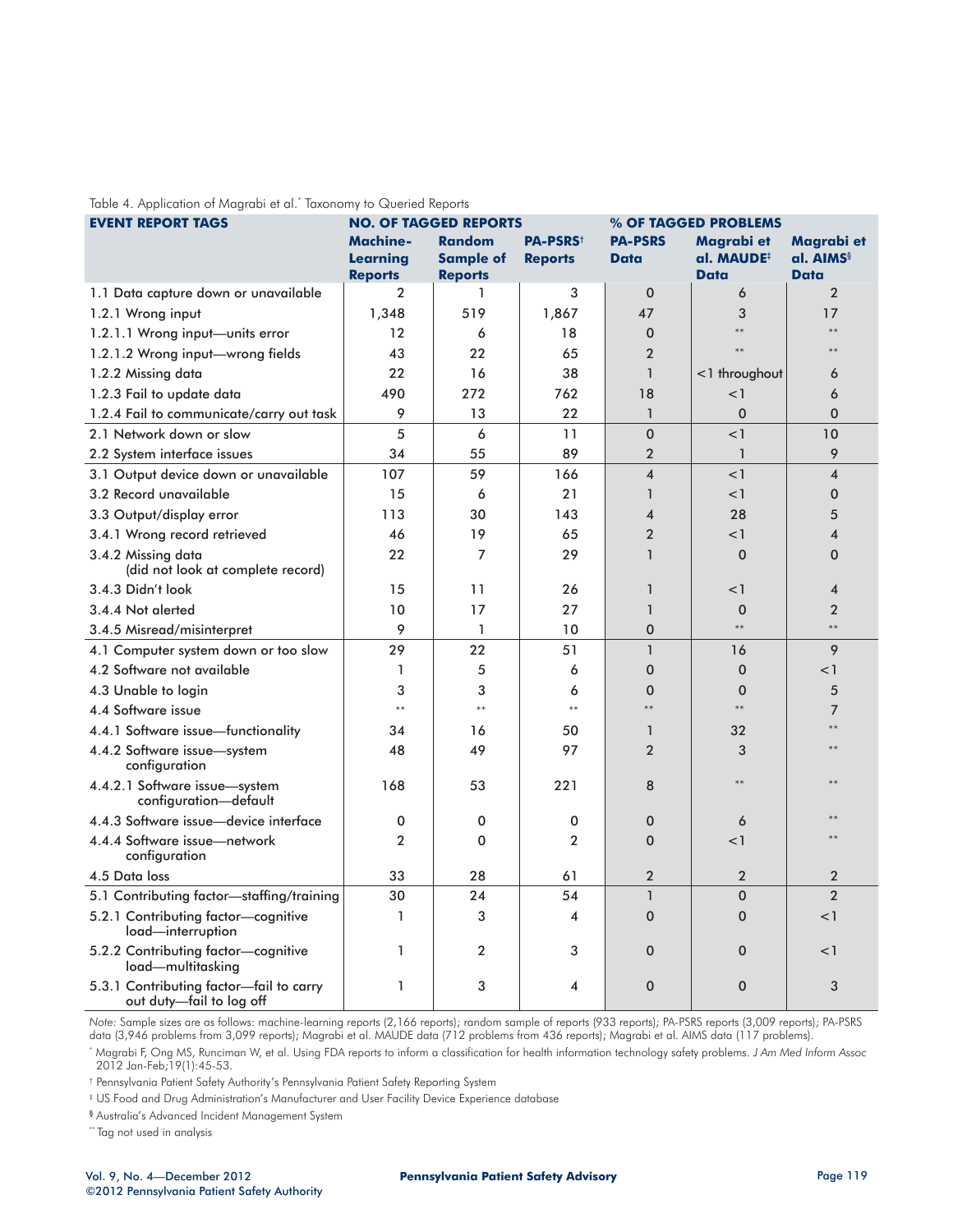| rapio 1. Implication of magiable all ranoffortly to expositor hopotis<br><b>EVENT REPORT TAGS</b><br><b>NO. OF TAGGED REPORTS</b><br>% OF TAGGED PROBLEMS |                                               |                                                     |                                               |                               |                                                     |                                             |
|-----------------------------------------------------------------------------------------------------------------------------------------------------------|-----------------------------------------------|-----------------------------------------------------|-----------------------------------------------|-------------------------------|-----------------------------------------------------|---------------------------------------------|
|                                                                                                                                                           | <b>Machine-</b><br>Learning<br><b>Reports</b> | <b>Random</b><br><b>Sample of</b><br><b>Reports</b> | <b>PA-PSRS</b> <sup>+</sup><br><b>Reports</b> | <b>PA-PSRS</b><br><b>Data</b> | Magrabi et<br>al. MAUDE <sup>#</sup><br><b>Data</b> | Magrabi et<br>al. AIMS <sup>§</sup><br>Data |
| 1.1 Data capture down or unavailable                                                                                                                      | $\overline{2}$                                | 1                                                   | 3                                             | $\Omega$                      | 6                                                   | $\overline{2}$                              |
| 1.2.1 Wrong input                                                                                                                                         | 1,348                                         | 519                                                 | 1,867                                         | 47                            | 3                                                   | 17                                          |
| 1.2.1.1 Wrong input-units error                                                                                                                           | 12                                            | 6                                                   | 18                                            | $\Omega$                      | $**$                                                | **                                          |
| 1.2.1.2 Wrong input-wrong fields                                                                                                                          | 43                                            | 22                                                  | 65                                            | $\overline{2}$                | $**$                                                |                                             |
| 1.2.2 Missing data                                                                                                                                        | 22                                            | 16                                                  | 38                                            | $\mathbf{1}$                  | $<$ 1 throughout                                    | 6                                           |
| 1.2.3 Fail to update data                                                                                                                                 | 490                                           | 272                                                 | 762                                           | 18                            | <1                                                  | 6                                           |
| 1.2.4 Fail to communicate/carry out task                                                                                                                  | 9                                             | 13                                                  | 22                                            | $\mathbf{1}$                  | $\mathbf 0$                                         | $\mathbf 0$                                 |
| 2.1 Network down or slow                                                                                                                                  | 5                                             | 6                                                   | 11                                            | $\Omega$                      | $<$ 1                                               | 10                                          |
| 2.2 System interface issues                                                                                                                               | 34                                            | 55                                                  | 89                                            | $\overline{2}$                | $\mathbf{1}$                                        | 9                                           |
| 3.1 Output device down or unavailable                                                                                                                     | 107                                           | 59                                                  | 166                                           | $\overline{\mathbf{4}}$       | <1                                                  | $\overline{4}$                              |
| 3.2 Record unavailable                                                                                                                                    | 15                                            | 6                                                   | 21                                            | $\mathbf{1}$                  | <1                                                  | $\mathbf 0$                                 |
| 3.3 Output/display error                                                                                                                                  | 113                                           | 30                                                  | 143                                           | $\overline{\mathbf{4}}$       | 28                                                  | 5                                           |
| 3.4.1 Wrong record retrieved                                                                                                                              | 46                                            | 19                                                  | 65                                            | $\overline{2}$                | <1                                                  | $\overline{\mathcal{A}}$                    |
| 3.4.2 Missing data<br>(did not look at complete record)                                                                                                   | 22                                            | $\overline{7}$                                      | 29                                            | $\mathbf{1}$                  | $\Omega$                                            | $\mathbf 0$                                 |
| 3.4.3 Didn't look                                                                                                                                         | 15                                            | 11                                                  | 26                                            | $\mathbf{1}$                  | $<$ 1                                               | $\overline{\mathbf{4}}$                     |
| 3.4.4 Not alerted                                                                                                                                         | 10                                            | 17                                                  | 27                                            | $\mathbf{1}$                  | $\mathbf 0$                                         | $\overline{2}$                              |
| 3.4.5 Misread/misinterpret                                                                                                                                | 9                                             | 1                                                   | 10                                            | $\mathbf 0$                   | $\ast\ast$                                          | **                                          |
| 4.1 Computer system down or too slow                                                                                                                      | 29                                            | 22                                                  | 51                                            | $\mathbf{1}$                  | 16                                                  | 9                                           |
| 4.2 Software not available                                                                                                                                | 1                                             | 5                                                   | 6                                             | $\mathbf 0$                   | $\mathbf 0$                                         | $<$ 1                                       |
| 4.3 Unable to login                                                                                                                                       | 3                                             | 3                                                   | 6                                             | $\mathbf{0}$                  | $\mathbf 0$                                         | 5                                           |
| 4.4 Software issue                                                                                                                                        | $**$                                          | $**$                                                | $**$                                          | **                            | $\ast\ast$                                          | 7                                           |
| 4.4.1 Software issue-functionality                                                                                                                        | 34                                            | 16                                                  | 50                                            | $\mathbf{1}$                  | 32                                                  | **                                          |
| 4.4.2 Software issue-system<br>configuration                                                                                                              | 48                                            | 49                                                  | 97                                            | $\overline{2}$                | 3                                                   |                                             |
| 4.4.2.1 Software issue-system<br>configuration-default                                                                                                    | 168                                           | 53                                                  | 221                                           | 8                             | **                                                  |                                             |
| 4.4.3 Software issue-device interface                                                                                                                     | 0                                             | 0                                                   | 0                                             | $\mathbf 0$                   | 6                                                   |                                             |
| 4.4.4 Software issue-network<br>configuration                                                                                                             | $\overline{2}$                                | 0                                                   | 2                                             | $\mathbf{0}$                  | <1                                                  |                                             |
| 4.5 Data loss                                                                                                                                             | 33                                            | 28                                                  | 61                                            | $\overline{2}$                | $\overline{2}$                                      | $\overline{2}$                              |
| 5.1 Contributing factor-staffing/training                                                                                                                 | 30                                            | 24                                                  | 54                                            | $\mathbf{1}$                  | $\mathbf 0$                                         | $\overline{2}$                              |
| 5.2.1 Contributing factor-cognitive<br>load—interruption                                                                                                  | 1                                             | 3                                                   | 4                                             | $\Omega$                      | $\mathbf 0$                                         | < 1                                         |
| 5.2.2 Contributing factor-cognitive<br>load—multitasking                                                                                                  | 1                                             | $\overline{2}$                                      | 3                                             | $\mathbf 0$                   | $\mathbf 0$                                         | $<$ 1                                       |
| 5.3.1 Contributing factor-fail to carry<br>out duty-fail to log off                                                                                       | 1                                             | 3                                                   | 4                                             | $\mathbf 0$                   | $\mathbf 0$                                         | 3                                           |

Table 4. Application of Magrabi et al.\* Taxonomy to Queried Reports

*Note:* Sample sizes are as follows: machine-learning reports (2,166 reports); random sample of reports (933 reports); PA-PSRS reports (3,009 reports); PA-PSRS data (3,946 problems from 3,099 reports); Magrabi et al. MAUDE data (712 problems from 436 reports); Magrabi et al. AIMS data (117 problems).

\* Magrabi F, Ong MS, Runciman W, et al. Using FDA reports to inform a classification for health information technology safety problems. *J Am Med Inform Assoc* 2012 Jan-Feb;19(1):45-53.

† Pennsylvania Patient Safety Authority's Pennsylvania Patient Safety Reporting System

‡ US Food and Drug Administration's Manufacturer and User Facility Device Experience database

§ Australia's Advanced Incident Management System

\*\* Tag not used in analysis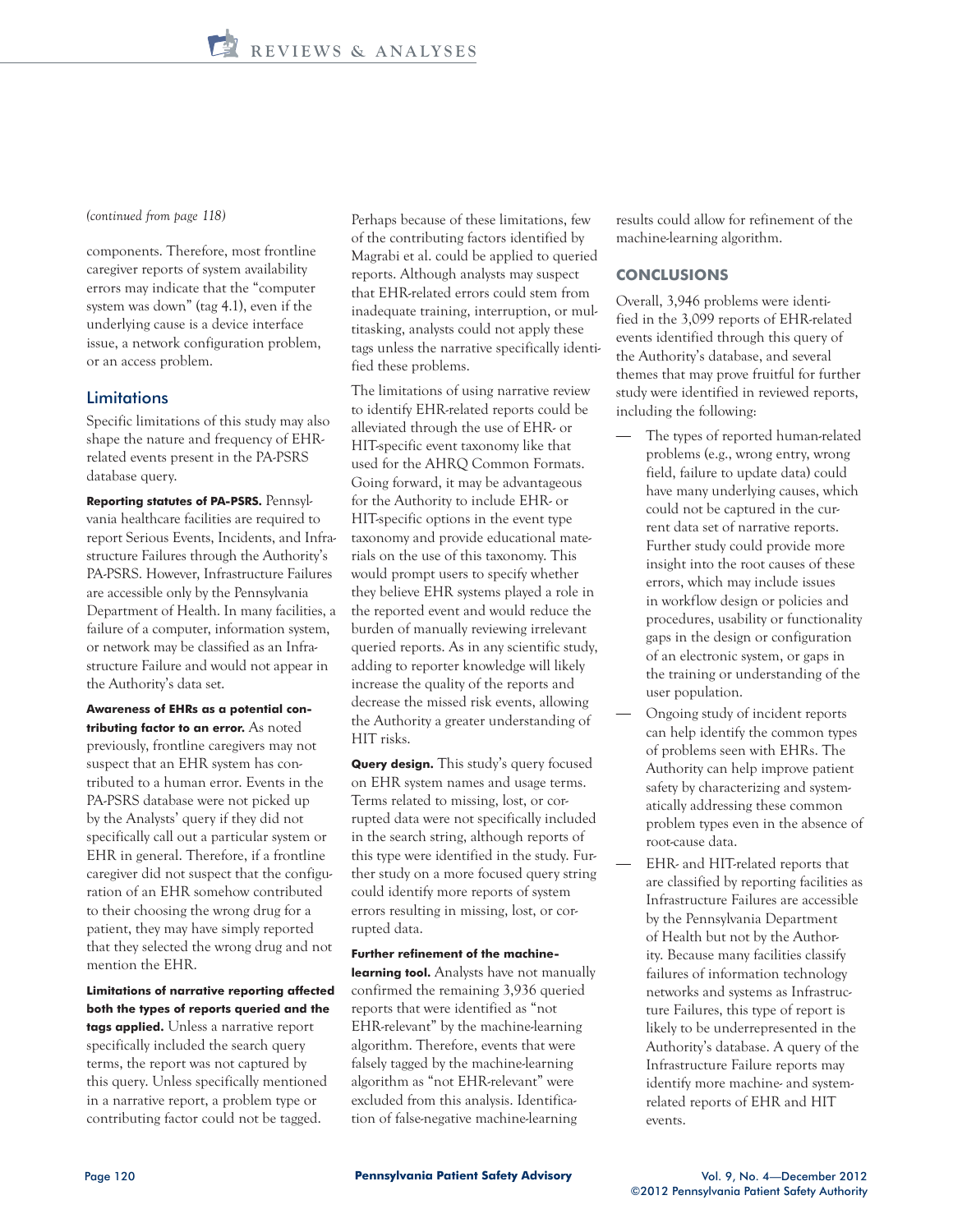*(continued from page 118)*

components. Therefore, most frontline caregiver reports of system availability errors may indicate that the "computer system was down" (tag 4.1), even if the underlying cause is a device interface issue, a network configuration problem, or an access problem.

# **Limitations**

Specific limitations of this study may also shape the nature and frequency of EHRrelated events present in the PA-PSRS database query.

**Reporting statutes of PA-PSRS.** Pennsylvania healthcare facilities are required to report Serious Events, Incidents, and Infrastructure Failures through the Authority's PA-PSRS. However, Infrastructure Failures are accessible only by the Pennsylvania Department of Health. In many facilities, a failure of a computer, information system, or network may be classified as an Infrastructure Failure and would not appear in the Authority's data set.

**Awareness of EHRs as a potential contributing factor to an error.** As noted previously, frontline caregivers may not suspect that an EHR system has contributed to a human error. Events in the PA-PSRS database were not picked up by the Analysts' query if they did not specifically call out a particular system or EHR in general. Therefore, if a frontline caregiver did not suspect that the configuration of an EHR somehow contributed to their choosing the wrong drug for a patient, they may have simply reported that they selected the wrong drug and not mention the EHR.

**Limitations of narrative reporting affected both the types of reports queried and the** 

**tags applied.** Unless a narrative report specifically included the search query terms, the report was not captured by this query. Unless specifically mentioned in a narrative report, a problem type or contributing factor could not be tagged.

Perhaps because of these limitations, few of the contributing factors identified by Magrabi et al. could be applied to queried reports. Although analysts may suspect that EHR-related errors could stem from inadequate training, interruption, or multitasking, analysts could not apply these tags unless the narrative specifically identified these problems.

The limitations of using narrative review to identify EHR-related reports could be alleviated through the use of EHR- or HIT-specific event taxonomy like that used for the AHRQ Common Formats. Going forward, it may be advantageous for the Authority to include EHR- or HIT-specific options in the event type taxonomy and provide educational materials on the use of this taxonomy. This would prompt users to specify whether they believe EHR systems played a role in the reported event and would reduce the burden of manually reviewing irrelevant queried reports. As in any scientific study, adding to reporter knowledge will likely increase the quality of the reports and decrease the missed risk events, allowing the Authority a greater understanding of HIT risks.

**Query design.** This study's query focused on EHR system names and usage terms. Terms related to missing, lost, or corrupted data were not specifically included in the search string, although reports of this type were identified in the study. Further study on a more focused query string could identify more reports of system errors resulting in missing, lost, or corrupted data.

#### **Further refinement of the machine-**

**learning tool.** Analysts have not manually confirmed the remaining 3,936 queried reports that were identified as "not EHR-relevant" by the machine-learning algorithm. Therefore, events that were falsely tagged by the machine-learning algorithm as "not EHR-relevant" were excluded from this analysis. Identification of false-negative machine-learning

results could allow for refinement of the machine-learning algorithm.

#### **CONCLUSIONS**

Overall, 3,946 problems were identified in the 3,099 reports of EHR-related events identified through this query of the Authority's database, and several themes that may prove fruitful for further study were identified in reviewed reports, including the following:

- The types of reported human-related problems (e.g., wrong entry, wrong field, failure to update data) could have many underlying causes, which could not be captured in the current data set of narrative reports. Further study could provide more insight into the root causes of these errors, which may include issues in workflow design or policies and procedures, usability or functionality gaps in the design or configuration of an electronic system, or gaps in the training or understanding of the user population.
- Ongoing study of incident reports can help identify the common types of problems seen with EHRs. The Authority can help improve patient safety by characterizing and systematically addressing these common problem types even in the absence of root-cause data.
- EHR- and HIT-related reports that are classified by reporting facilities as Infrastructure Failures are accessible by the Pennsylvania Department of Health but not by the Authority. Because many facilities classify failures of information technology networks and systems as Infrastructure Failures, this type of report is likely to be underrepresented in the Authority's database. A query of the Infrastructure Failure reports may identify more machine- and systemrelated reports of EHR and HIT events.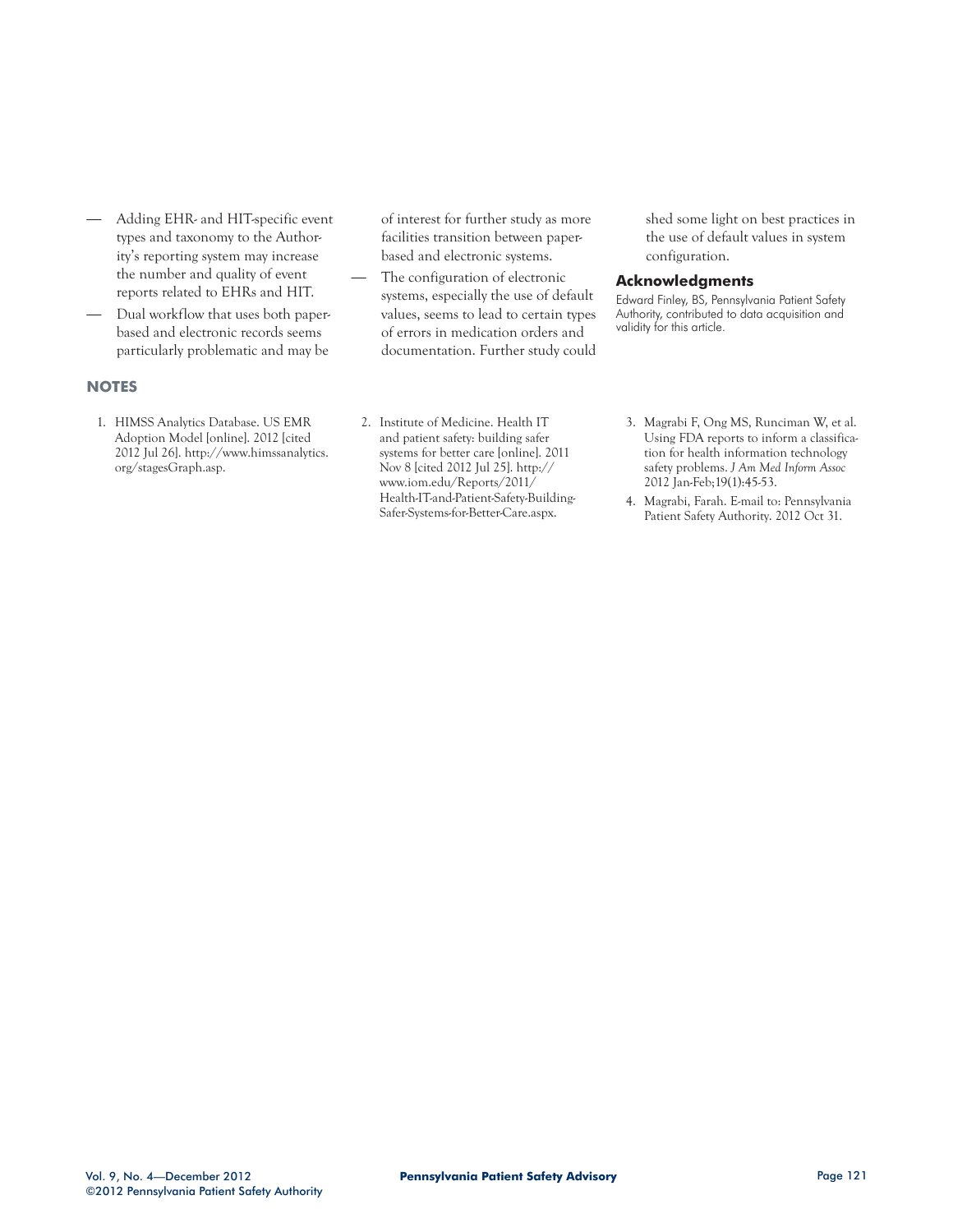- Adding EHR- and HIT-specific event types and taxonomy to the Authority's reporting system may increase the number and quality of event reports related to EHRs and HIT.
- Dual workflow that uses both paperbased and electronic records seems particularly problematic and may be

## **NOTES**

1. HIMSS Analytics Database. US EMR Adoption Model [online]. 2012 [cited 2012 Jul 26]. http://www.himssanalytics. org/stagesGraph.asp.

of interest for further study as more facilities transition between paperbased and electronic systems.

The configuration of electronic systems, especially the use of default values, seems to lead to certain types of errors in medication orders and documentation. Further study could shed some light on best practices in the use of default values in system configuration.

#### **Acknowledgments**

Edward Finley, BS, Pennsylvania Patient Safety Authority, contributed to data acquisition and validity for this article.

- 2. Institute of Medicine. Health IT and patient safety: building safer systems for better care [online]. 2011 Nov 8 [cited 2012 Jul 25]. http:// www.iom.edu/Reports/2011/ Health-IT-and-Patient-Safety-Building-Safer-Systems-for-Better-Care.aspx.
- 3. Magrabi F, Ong MS, Runciman W, et al. Using FDA reports to inform a classification for health information technology safety problems. *J Am Med Inform Assoc* 2012 Jan-Feb;19(1):45-53.
- 4. Magrabi, Farah. E-mail to: Pennsylvania Patient Safety Authority. 2012 Oct 31.